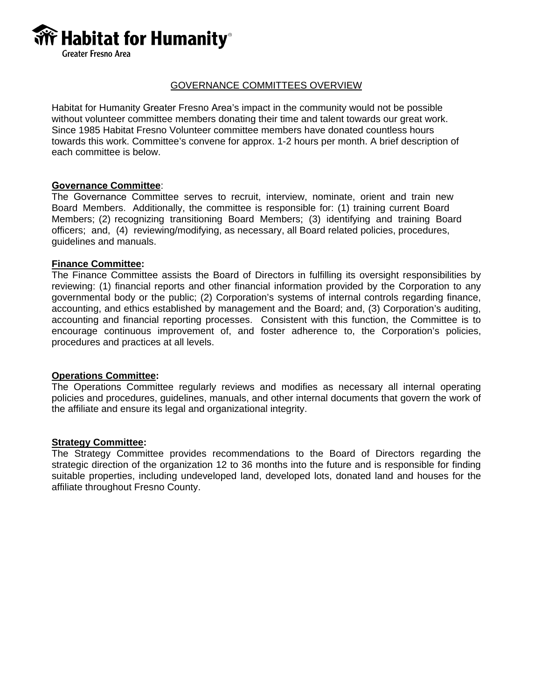

## GOVERNANCE COMMITTEES OVERVIEW

Habitat for Humanity Greater Fresno Area's impact in the community would not be possible without volunteer committee members donating their time and talent towards our great work. Since 1985 Habitat Fresno Volunteer committee members have donated countless hours towards this work. Committee's convene for approx. 1-2 hours per month. A brief description of each committee is below.

## **Governance Committee**:

The Governance Committee serves to recruit, interview, nominate, orient and train new Board Members. Additionally, the committee is responsible for: (1) training current Board Members; (2) recognizing transitioning Board Members; (3) identifying and training Board officers; and, (4) reviewing/modifying, as necessary, all Board related policies, procedures, guidelines and manuals.

### **Finance Committee:**

The Finance Committee assists the Board of Directors in fulfilling its oversight responsibilities by reviewing: (1) financial reports and other financial information provided by the Corporation to any governmental body or the public; (2) Corporation's systems of internal controls regarding finance, accounting, and ethics established by management and the Board; and, (3) Corporation's auditing, accounting and financial reporting processes. Consistent with this function, the Committee is to encourage continuous improvement of, and foster adherence to, the Corporation's policies, procedures and practices at all levels.

## **Operations Committee:**

The Operations Committee regularly reviews and modifies as necessary all internal operating policies and procedures, guidelines, manuals, and other internal documents that govern the work of the affiliate and ensure its legal and organizational integrity.

### **Strategy Committee:**

The Strategy Committee provides recommendations to the Board of Directors regarding the strategic direction of the organization 12 to 36 months into the future and is responsible for finding suitable properties, including undeveloped land, developed lots, donated land and houses for the affiliate throughout Fresno County.